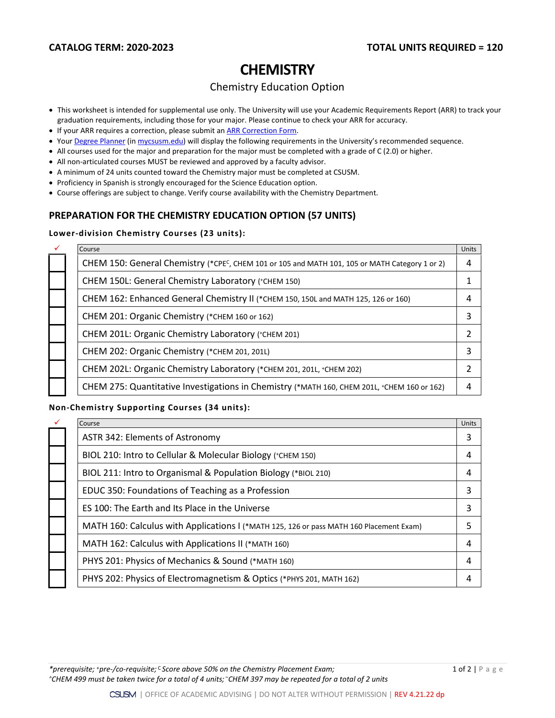# **CHEMISTRY**

## Chemistry Education Option

- This worksheet is intended for supplemental use only. The University will use your Academic Requirements Report (ARR) to track your graduation requirements, including those for your major. Please continue to check your ARR for accuracy.
- If your ARR requires a correction, please submit an **[ARR Correction Form.](http://www.csusm.edu/academicadvising/arrcorrection/index.html)**
- You[r Degree Planner](https://www.csusm.edu/academicadvising/degreeplanner/index.html) (i[n mycsusm.edu\)](https://my.csusm.edu/) will display the following requirements in the University's recommended sequence.
- All courses used for the major and preparation for the major must be completed with a grade of C (2.0) or higher.
- All non-articulated courses MUST be reviewed and approved by a faculty advisor.
- A minimum of 24 units counted toward the Chemistry major must be completed at CSUSM.
- Proficiency in Spanish is strongly encouraged for the Science Education option.
- Course offerings are subject to change. Verify course availability with the Chemistry Department.

## **PREPARATION FOR THE CHEMISTRY EDUCATION OPTION (57 UNITS)**

### **Lower-division Chemistry Courses (23 units):**

|  | Course                                                                                         | Units |
|--|------------------------------------------------------------------------------------------------|-------|
|  | CHEM 150: General Chemistry (*CPEC, CHEM 101 or 105 and MATH 101, 105 or MATH Category 1 or 2) | 4     |
|  | CHEM 150L: General Chemistry Laboratory (*CHEM 150)                                            |       |
|  | CHEM 162: Enhanced General Chemistry II (*CHEM 150, 150L and MATH 125, 126 or 160)             | 4     |
|  | CHEM 201: Organic Chemistry (*CHEM 160 or 162)                                                 |       |
|  | CHEM 201L: Organic Chemistry Laboratory (+CHEM 201)                                            |       |
|  | CHEM 202: Organic Chemistry (*CHEM 201, 201L)                                                  | 3     |
|  | CHEM 202L: Organic Chemistry Laboratory (*CHEM 201, 201L, +CHEM 202)                           |       |
|  | CHEM 275: Quantitative Investigations in Chemistry (*MATH 160, CHEM 201L, *CHEM 160 or 162)    |       |
|  |                                                                                                |       |

#### **Non-Chemistry Supporting Courses (34 units):**

| $\checkmark$ | Course                                                                                  | Units |
|--------------|-----------------------------------------------------------------------------------------|-------|
|              | ASTR 342: Elements of Astronomy                                                         | 3     |
|              | BIOL 210: Intro to Cellular & Molecular Biology (*CHEM 150)                             | 4     |
|              | BIOL 211: Intro to Organismal & Population Biology (*BIOL 210)                          | 4     |
|              | EDUC 350: Foundations of Teaching as a Profession                                       | 3     |
|              | ES 100: The Earth and Its Place in the Universe                                         | 3     |
|              | MATH 160: Calculus with Applications I (*MATH 125, 126 or pass MATH 160 Placement Exam) | 5     |
|              | MATH 162: Calculus with Applications II (*MATH 160)                                     | 4     |
|              | PHYS 201: Physics of Mechanics & Sound (*MATH 160)                                      | 4     |
|              | PHYS 202: Physics of Electromagnetism & Optics (*PHYS 201, MATH 162)                    |       |

*\*prerequisite;* <sup>+</sup>*pre-/co-requisite;* <sup>C</sup>*Score above 50% on the Chemistry Placement Exam;* 1 of 2 | Page *^CHEM 499 must be taken twice for a total of 4 units;* <sup>~</sup>*CHEM 397 may be repeated for a total of 2 units*